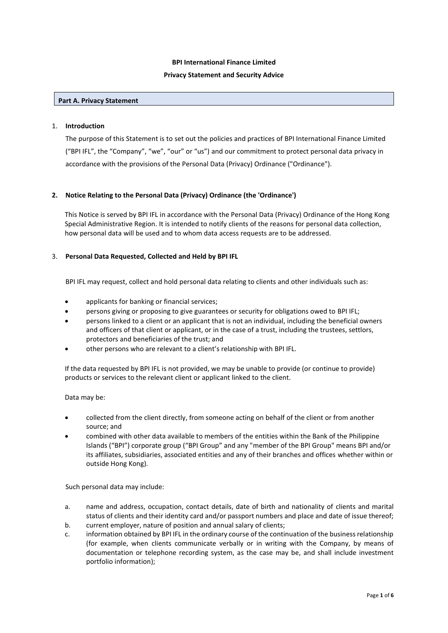# **BPI International Finance Limited Privacy Statement and Security Advice**

#### **Part A. Privacy Statement**

#### 1. **Introduction**

The purpose of this Statement is to set out the policies and practices of BPI International Finance Limited ("BPI IFL", the "Company", "we", "our" or "us") and our commitment to protect personal data privacy in accordance with the provisions of the Personal Data (Privacy) Ordinance ("Ordinance").

## **2. Notice Relating to the Personal Data (Privacy) Ordinance (the 'Ordinance')**

This Notice is served by BPI IFL in accordance with the Personal Data (Privacy) Ordinance of the Hong Kong Special Administrative Region. It is intended to notify clients of the reasons for personal data collection, how personal data will be used and to whom data access requests are to be addressed.

## 3. **Personal Data Requested, Collected and Held by BPI IFL**

BPI IFL may request, collect and hold personal data relating to clients and other individuals such as:

- applicants for banking or financial services;
- persons giving or proposing to give guarantees or security for obligations owed to BPI IFL;
- persons linked to a client or an applicant that is not an individual, including the beneficial owners and officers of that client or applicant, or in the case of a trust, including the trustees, settlors, protectors and beneficiaries of the trust; and
- other persons who are relevant to a client's relationship with BPI IFL.

If the data requested by BPI IFL is not provided, we may be unable to provide (or continue to provide) products or services to the relevant client or applicant linked to the client.

## Data may be:

- collected from the client directly, from someone acting on behalf of the client or from another source; and
- combined with other data available to members of the entities within the Bank of the Philippine Islands ("BPI") corporate group ("BPI Group" and any "member of the BPI Group" means BPI and/or its affiliates, subsidiaries, associated entities and any of their branches and offices whether within or outside Hong Kong).

Such personal data may include:

- a. name and address, occupation, contact details, date of birth and nationality of clients and marital status of clients and their identity card and/or passport numbers and place and date of issue thereof;
- b. current employer, nature of position and annual salary of clients;
- c. information obtained by BPI IFL in the ordinary course of the continuation of the business relationship (for example, when clients communicate verbally or in writing with the Company, by means of documentation or telephone recording system, as the case may be, and shall include investment portfolio information);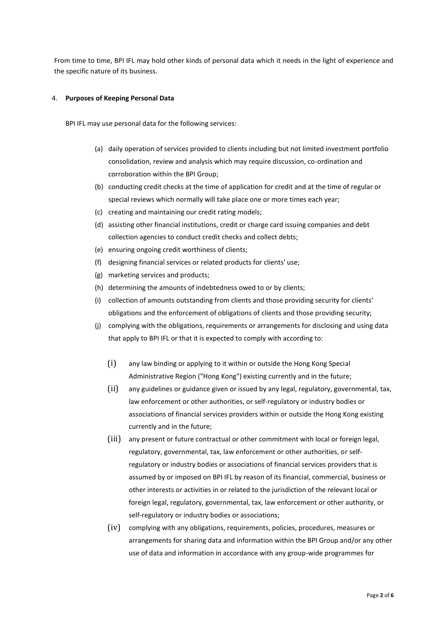From time to time, BPI IFL may hold other kinds of personal data which it needs in the light of experience and the specific nature of its business.

#### 4. **Purposes of Keeping Personal Data**

BPI IFL may use personal data for the following services:

- (a) daily operation of services provided to clients including but not limited investment portfolio consolidation, review and analysis which may require discussion, co-ordination and corroboration within the BPI Group;
- (b) conducting credit checks at the time of application for credit and at the time of regular or special reviews which normally will take place one or more times each year;
- (c) creating and maintaining our credit rating models;
- (d) assisting other financial institutions, credit or charge card issuing companies and debt collection agencies to conduct credit checks and collect debts;
- (e) ensuring ongoing credit worthiness of clients;
- (f) designing financial services or related products for clients' use;
- (g) marketing services and products;
- (h) determining the amounts of indebtedness owed to or by clients;
- (i) collection of amounts outstanding from clients and those providing security for clients' obligations and the enforcement of obligations of clients and those providing security;
- (j) complying with the obligations, requirements or arrangements for disclosing and using data that apply to BPI IFL or that it is expected to comply with according to:
	- (i) any law binding or applying to it within or outside the Hong Kong Special Administrative Region ("Hong Kong") existing currently and in the future;
	- (ii) any guidelines or guidance given or issued by any legal, regulatory, governmental, tax, law enforcement or other authorities, or self-regulatory or industry bodies or associations of financial services providers within or outside the Hong Kong existing currently and in the future;
	- (iii) any present or future contractual or other commitment with local or foreign legal, regulatory, governmental, tax, law enforcement or other authorities, or selfregulatory or industry bodies or associations of financial services providers that is assumed by or imposed on BPI IFL by reason of its financial, commercial, business or other interests or activities in or related to the jurisdiction of the relevant local or foreign legal, regulatory, governmental, tax, law enforcement or other authority, or self-regulatory or industry bodies or associations;
	- (iv) complying with any obligations, requirements, policies, procedures, measures or arrangements for sharing data and information within the BPI Group and/or any other use of data and information in accordance with any group-wide programmes for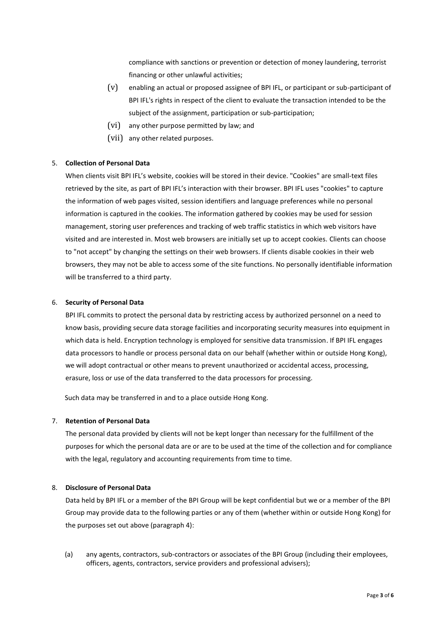compliance with sanctions or prevention or detection of money laundering, terrorist financing or other unlawful activities;

- (v) enabling an actual or proposed assignee of BPI IFL, or participant or sub-participant of BPI IFL's rights in respect of the client to evaluate the transaction intended to be the subject of the assignment, participation or sub-participation;
- (vi) any other purpose permitted by law; and
- (vii) any other related purposes.

# 5. **Collection of Personal Data**

When clients visit BPI IFL's website, cookies will be stored in their device. "Cookies" are small-text files retrieved by the site, as part of BPI IFL's interaction with their browser. BPI IFL uses "cookies" to capture the information of web pages visited, session identifiers and language preferences while no personal information is captured in the cookies. The information gathered by cookies may be used for session management, storing user preferences and tracking of web traffic statistics in which web visitors have visited and are interested in. Most web browsers are initially set up to accept cookies. Clients can choose to "not accept" by changing the settings on their web browsers. If clients disable cookies in their web browsers, they may not be able to access some of the site functions. No personally identifiable information will be transferred to a third party.

# 6. **Security of Personal Data**

BPI IFL commits to protect the personal data by restricting access by authorized personnel on a need to know basis, providing secure data storage facilities and incorporating security measures into equipment in which data is held. Encryption technology is employed for sensitive data transmission. If BPI IFL engages data processors to handle or process personal data on our behalf (whether within or outside Hong Kong), we will adopt contractual or other means to prevent unauthorized or accidental access, processing, erasure, loss or use of the data transferred to the data processors for processing.

Such data may be transferred in and to a place outside Hong Kong.

# 7. **Retention of Personal Data**

The personal data provided by clients will not be kept longer than necessary for the fulfillment of the purposes for which the personal data are or are to be used at the time of the collection and for compliance with the legal, regulatory and accounting requirements from time to time.

## 8. **Disclosure of Personal Data**

Data held by BPI IFL or a member of the BPI Group will be kept confidential but we or a member of the BPI Group may provide data to the following parties or any of them (whether within or outside Hong Kong) for the purposes set out above (paragraph 4):

(a) any agents, contractors, sub-contractors or associates of the BPI Group (including their employees, officers, agents, contractors, service providers and professional advisers);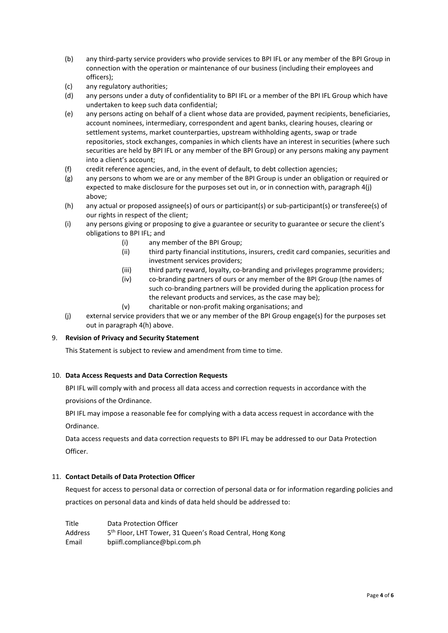- (b) any third-party service providers who provide services to BPI IFL or any member of the BPI Group in connection with the operation or maintenance of our business (including their employees and officers);
- (c) any regulatory authorities;
- (d) any persons under a duty of confidentiality to BPI IFL or a member of the BPI IFL Group which have undertaken to keep such data confidential;
- (e) any persons acting on behalf of a client whose data are provided, payment recipients, beneficiaries, account nominees, intermediary, correspondent and agent banks, clearing houses, clearing or settlement systems, market counterparties, upstream withholding agents, swap or trade repositories, stock exchanges, companies in which clients have an interest in securities (where such securities are held by BPI IFL or any member of the BPI Group) or any persons making any payment into a client's account;
- (f) credit reference agencies, and, in the event of default, to debt collection agencies;
- (g) any persons to whom we are or any member of the BPI Group is under an obligation or required or expected to make disclosure for the purposes set out in, or in connection with, paragraph 4(j) above;
- (h) any actual or proposed assignee(s) of ours or participant(s) or sub-participant(s) or transferee(s) of our rights in respect of the client;
- (i) any persons giving or proposing to give a guarantee or security to guarantee or secure the client's obligations to BPI IFL; and
	- (i) any member of the BPI Group;
	- (ii) third party financial institutions, insurers, credit card companies, securities and investment services providers;
	- (iii) third party reward, loyalty, co-branding and privileges programme providers;
	- (iv) co-branding partners of ours or any member of the BPI Group (the names of such co-branding partners will be provided during the application process for the relevant products and services, as the case may be);
	- (v) charitable or non-profit making organisations; and
- (j) external service providers that we or any member of the BPI Group engage(s) for the purposes set out in paragraph 4(h) above.

## 9. **Revision of Privacy and Security Statement**

This Statement is subject to review and amendment from time to time.

## 10. **Data Access Requests and Data Correction Requests**

BPI IFL will comply with and process all data access and correction requests in accordance with the provisions of the Ordinance.

BPI IFL may impose a reasonable fee for complying with a data access request in accordance with the Ordinance.

Data access requests and data correction requests to BPI IFL may be addressed to our Data Protection Officer.

## 11. **Contact Details of Data Protection Officer**

Request for access to personal data or correction of personal data or for information regarding policies and practices on personal data and kinds of data held should be addressed to:

Title Data Protection Officer **Address** 5<sup>th</sup> Floor, LHT Tower, 31 Queen's Road Central, Hong Kong Email bpiifl.compliance@bpi.com.ph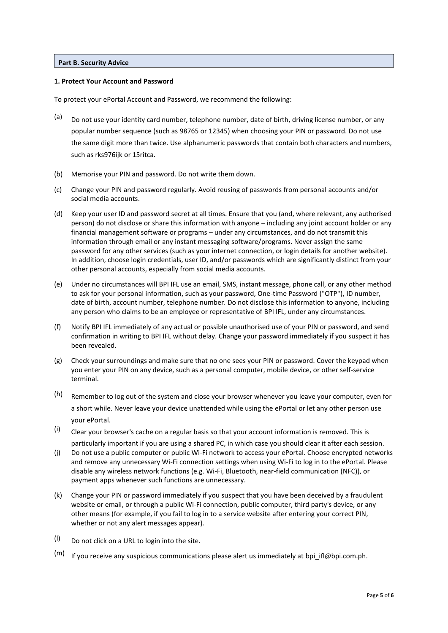#### **Part B. Security Advice**

#### **1. Protect Your Account and Password**

To protect your ePortal Account and Password, we recommend the following:

- (a) Do not use your identity card number, telephone number, date of birth, driving license number, or any popular number sequence (such as 98765 or 12345) when choosing your PIN or password. Do not use the same digit more than twice. Use alphanumeric passwords that contain both characters and numbers, such as rks976ijk or 15ritca.
- (b) Memorise your PIN and password. Do not write them down.
- (c) Change your PIN and password regularly. Avoid reusing of passwords from personal accounts and/or social media accounts.
- (d) Keep your user ID and password secret at all times. Ensure that you (and, where relevant, any authorised person) do not disclose or share this information with anyone – including any joint account holder or any financial management software or programs – under any circumstances, and do not transmit this information through email or any instant messaging software/programs. Never assign the same password for any other services (such as your internet connection, or login details for another website). In addition, choose login credentials, user ID, and/or passwords which are significantly distinct from your other personal accounts, especially from social media accounts.
- (e) Under no circumstances will BPI IFL use an email, SMS, instant message, phone call, or any other method to ask for your personal information, such as your password, One-time Password ("OTP"), ID number, date of birth, account number, telephone number. Do not disclose this information to anyone, including any person who claims to be an employee or representative of BPI IFL, under any circumstances.
- (f) Notify BPI IFL immediately of any actual or possible unauthorised use of your PIN or password, and send confirmation in writing to BPI IFL without delay. Change your password immediately if you suspect it has been revealed.
- (g) Check your surroundings and make sure that no one sees your PIN or password. Cover the keypad when you enter your PIN on any device, such as a personal computer, mobile device, or other self-service terminal.
- (h) Remember to log out of the system and close your browser whenever you leave your computer, even for a short while. Never leave your device unattended while using the ePortal or let any other person use your ePortal.
- $(i)$  Clear your browser's cache on a regular basis so that your account information is removed. This is particularly important if you are using a shared PC, in which case you should clear it after each session.
- (j) Do not use a public computer or public Wi-Fi network to access your ePortal. Choose encrypted networks and remove any unnecessary Wi-Fi connection settings when using Wi-Fi to log in to the ePortal. Please disable any wireless network functions (e.g. Wi-Fi, Bluetooth, near-field communication (NFC)), or payment apps whenever such functions are unnecessary.
- (k) Change your PIN or password immediately if you suspect that you have been deceived by a fraudulent website or email, or through a public Wi-Fi connection, public computer, third party's device, or any other means (for example, if you fail to log in to a service website after entering your correct PIN, whether or not any alert messages appear).
- $(1)$  Do not click on a URL to login into the site.
- $(m)$  If you receive any suspicious communications please alert us immediately at bpi\_ifl@bpi.com.ph.